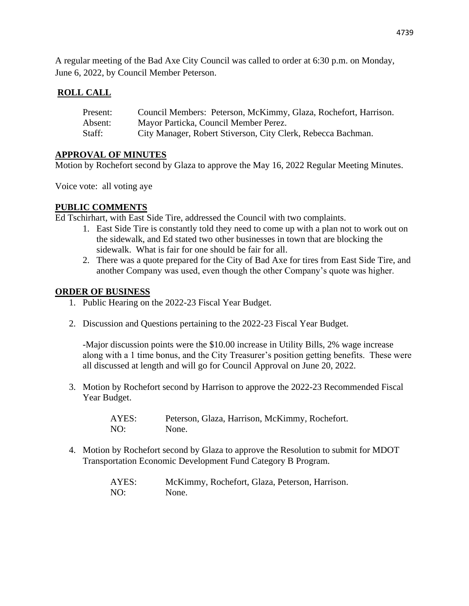A regular meeting of the Bad Axe City Council was called to order at 6:30 p.m. on Monday, June 6, 2022, by Council Member Peterson.

## **ROLL CALL**

| Present: | Council Members: Peterson, McKimmy, Glaza, Rochefort, Harrison. |
|----------|-----------------------------------------------------------------|
| Absent:  | Mayor Particka, Council Member Perez.                           |
| Staff:   | City Manager, Robert Stiverson, City Clerk, Rebecca Bachman.    |

## **APPROVAL OF MINUTES**

Motion by Rochefort second by Glaza to approve the May 16, 2022 Regular Meeting Minutes.

Voice vote: all voting aye

## **PUBLIC COMMENTS**

Ed Tschirhart, with East Side Tire, addressed the Council with two complaints.

- 1. East Side Tire is constantly told they need to come up with a plan not to work out on the sidewalk, and Ed stated two other businesses in town that are blocking the sidewalk. What is fair for one should be fair for all.
- 2. There was a quote prepared for the City of Bad Axe for tires from East Side Tire, and another Company was used, even though the other Company's quote was higher.

#### **ORDER OF BUSINESS**

- 1. Public Hearing on the 2022-23 Fiscal Year Budget.
- 2. Discussion and Questions pertaining to the 2022-23 Fiscal Year Budget.

-Major discussion points were the \$10.00 increase in Utility Bills, 2% wage increase along with a 1 time bonus, and the City Treasurer's position getting benefits. These were all discussed at length and will go for Council Approval on June 20, 2022.

3. Motion by Rochefort second by Harrison to approve the 2022-23 Recommended Fiscal Year Budget.

> AYES: Peterson, Glaza, Harrison, McKimmy, Rochefort. NO: None.

4. Motion by Rochefort second by Glaza to approve the Resolution to submit for MDOT Transportation Economic Development Fund Category B Program.

| AYES: | McKimmy, Rochefort, Glaza, Peterson, Harrison. |
|-------|------------------------------------------------|
| NO:   | None.                                          |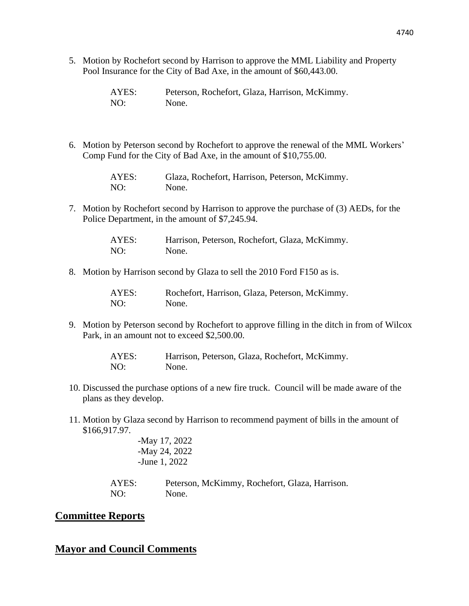- 4740
- 5. Motion by Rochefort second by Harrison to approve the MML Liability and Property Pool Insurance for the City of Bad Axe, in the amount of \$60,443.00.

| AYES: | Peterson, Rochefort, Glaza, Harrison, McKimmy. |
|-------|------------------------------------------------|
| NO:   | None.                                          |

6. Motion by Peterson second by Rochefort to approve the renewal of the MML Workers' Comp Fund for the City of Bad Axe, in the amount of \$10,755.00.

> AYES: Glaza, Rochefort, Harrison, Peterson, McKimmy. NO: None.

7. Motion by Rochefort second by Harrison to approve the purchase of (3) AEDs, for the Police Department, in the amount of \$7,245.94.

> AYES: Harrison, Peterson, Rochefort, Glaza, McKimmy. NO: None.

8. Motion by Harrison second by Glaza to sell the 2010 Ford F150 as is.

| AYES: | Rochefort, Harrison, Glaza, Peterson, McKimmy. |
|-------|------------------------------------------------|
| NO:   | None.                                          |

9. Motion by Peterson second by Rochefort to approve filling in the ditch in from of Wilcox Park, in an amount not to exceed \$2,500.00.

> AYES: Harrison, Peterson, Glaza, Rochefort, McKimmy. NO: None.

- 10. Discussed the purchase options of a new fire truck. Council will be made aware of the plans as they develop.
- 11. Motion by Glaza second by Harrison to recommend payment of bills in the amount of \$166,917.97.

-May 17, 2022 -May 24, 2022 -June 1, 2022

AYES: Peterson, McKimmy, Rochefort, Glaza, Harrison. NO: None.

#### **Committee Reports**

# **Mayor and Council Comments**